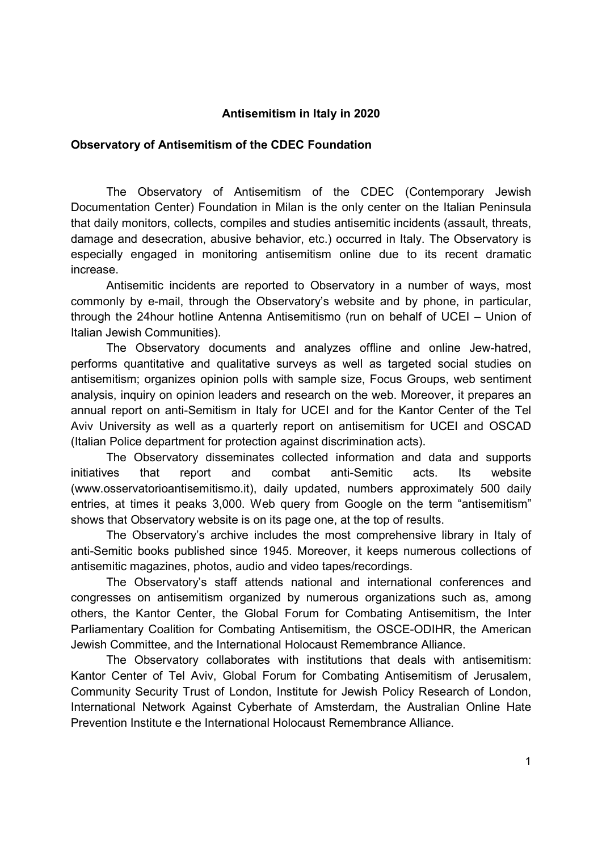# Antisemitism in Italy in 2020

### Observatory of Antisemitism of the CDEC Foundation

The Observatory of Antisemitism of the CDEC (Contemporary Jewish Documentation Center) Foundation in Milan is the only center on the Italian Peninsula that daily monitors, collects, compiles and studies antisemitic incidents (assault, threats, damage and desecration, abusive behavior, etc.) occurred in Italy. The Observatory is especially engaged in monitoring antisemitism online due to its recent dramatic increase.

Antisemitic incidents are reported to Observatory in a number of ways, most commonly by e-mail, through the Observatory's website and by phone, in particular, through the 24hour hotline Antenna Antisemitismo (run on behalf of UCEI – Union of Italian Jewish Communities).

The Observatory documents and analyzes offline and online Jew-hatred, performs quantitative and qualitative surveys as well as targeted social studies on antisemitism; organizes opinion polls with sample size, Focus Groups, web sentiment analysis, inquiry on opinion leaders and research on the web. Moreover, it prepares an annual report on anti-Semitism in Italy for UCEI and for the Kantor Center of the Tel Aviv University as well as a quarterly report on antisemitism for UCEI and OSCAD (Italian Police department for protection against discrimination acts).

The Observatory disseminates collected information and data and supports initiatives that report and combat anti-Semitic acts. Its website (www.osservatorioantisemitismo.it), daily updated, numbers approximately 500 daily entries, at times it peaks 3,000. Web query from Google on the term "antisemitism" shows that Observatory website is on its page one, at the top of results.

The Observatory's archive includes the most comprehensive library in Italy of anti-Semitic books published since 1945. Moreover, it keeps numerous collections of antisemitic magazines, photos, audio and video tapes/recordings.

The Observatory's staff attends national and international conferences and congresses on antisemitism organized by numerous organizations such as, among others, the Kantor Center, the Global Forum for Combating Antisemitism, the Inter Parliamentary Coalition for Combating Antisemitism, the OSCE-ODIHR, the American Jewish Committee, and the International Holocaust Remembrance Alliance.

The Observatory collaborates with institutions that deals with antisemitism: Kantor Center of Tel Aviv, Global Forum for Combating Antisemitism of Jerusalem, Community Security Trust of London, Institute for Jewish Policy Research of London, International Network Against Cyberhate of Amsterdam, the Australian Online Hate Prevention Institute e the International Holocaust Remembrance Alliance.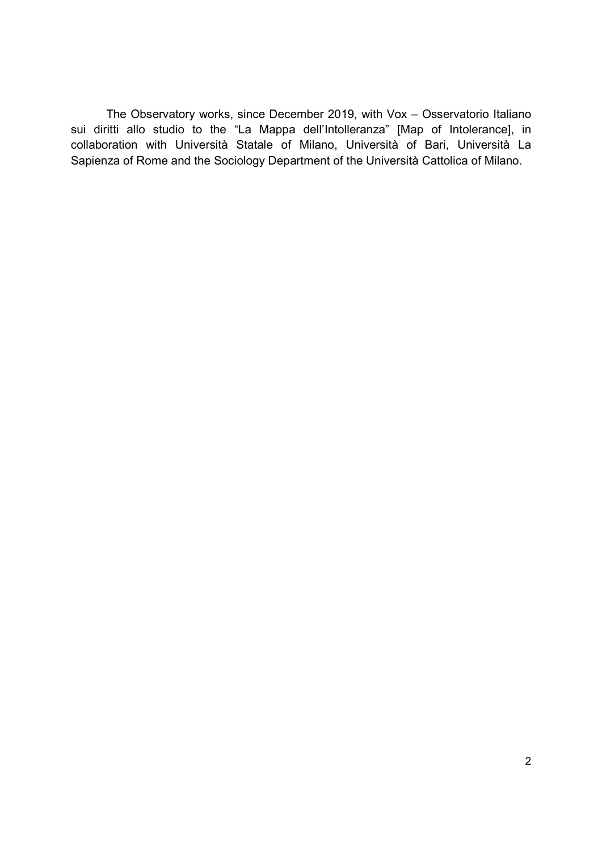The Observatory works, since December 2019, with Vox – Osservatorio Italiano sui diritti allo studio to the "La Mappa dell'Intolleranza" [Map of Intolerance], in collaboration with Università Statale of Milano, Università of Bari, Università La Sapienza of Rome and the Sociology Department of the Università Cattolica of Milano.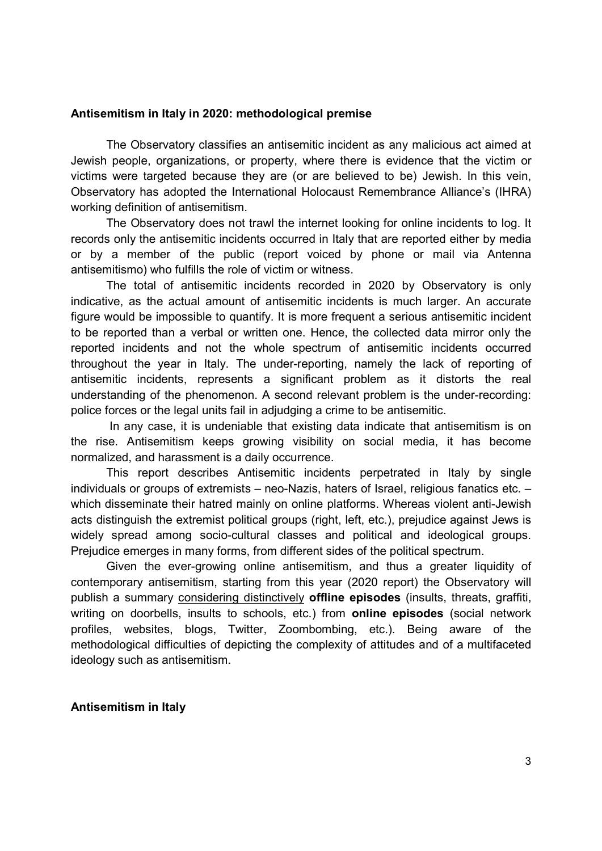### Antisemitism in Italy in 2020: methodological premise

The Observatory classifies an antisemitic incident as any malicious act aimed at Jewish people, organizations, or property, where there is evidence that the victim or victims were targeted because they are (or are believed to be) Jewish. In this vein, Observatory has adopted the International Holocaust Remembrance Alliance's (IHRA) working definition of antisemitism.

The Observatory does not trawl the internet looking for online incidents to log. It records only the antisemitic incidents occurred in Italy that are reported either by media or by a member of the public (report voiced by phone or mail via Antenna antisemitismo) who fulfills the role of victim or witness.

The total of antisemitic incidents recorded in 2020 by Observatory is only indicative, as the actual amount of antisemitic incidents is much larger. An accurate figure would be impossible to quantify. It is more frequent a serious antisemitic incident to be reported than a verbal or written one. Hence, the collected data mirror only the reported incidents and not the whole spectrum of antisemitic incidents occurred throughout the year in Italy. The under-reporting, namely the lack of reporting of antisemitic incidents, represents a significant problem as it distorts the real understanding of the phenomenon. A second relevant problem is the under-recording: police forces or the legal units fail in adjudging a crime to be antisemitic.

 In any case, it is undeniable that existing data indicate that antisemitism is on the rise. Antisemitism keeps growing visibility on social media, it has become normalized, and harassment is a daily occurrence.

This report describes Antisemitic incidents perpetrated in Italy by single individuals or groups of extremists – neo-Nazis, haters of Israel, religious fanatics etc. – which disseminate their hatred mainly on online platforms. Whereas violent anti-Jewish acts distinguish the extremist political groups (right, left, etc.), prejudice against Jews is widely spread among socio-cultural classes and political and ideological groups. Prejudice emerges in many forms, from different sides of the political spectrum.

Given the ever-growing online antisemitism, and thus a greater liquidity of contemporary antisemitism, starting from this year (2020 report) the Observatory will publish a summary considering distinctively **offline episodes** (insults, threats, graffiti, writing on doorbells, insults to schools, etc.) from **online episodes** (social network profiles, websites, blogs, Twitter, Zoombombing, etc.). Being aware of the methodological difficulties of depicting the complexity of attitudes and of a multifaceted ideology such as antisemitism.

#### Antisemitism in Italy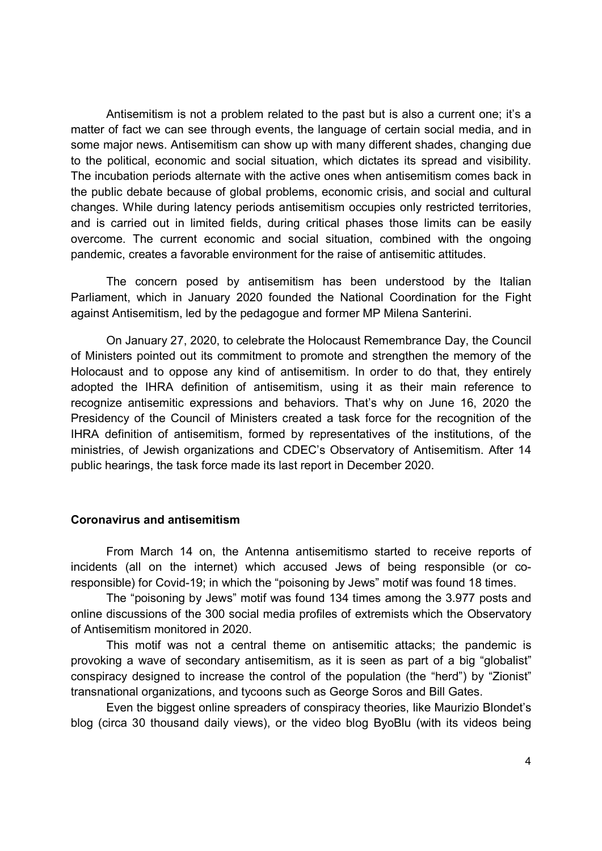Antisemitism is not a problem related to the past but is also a current one; it's a matter of fact we can see through events, the language of certain social media, and in some major news. Antisemitism can show up with many different shades, changing due to the political, economic and social situation, which dictates its spread and visibility. The incubation periods alternate with the active ones when antisemitism comes back in the public debate because of global problems, economic crisis, and social and cultural changes. While during latency periods antisemitism occupies only restricted territories, and is carried out in limited fields, during critical phases those limits can be easily overcome. The current economic and social situation, combined with the ongoing pandemic, creates a favorable environment for the raise of antisemitic attitudes.

The concern posed by antisemitism has been understood by the Italian Parliament, which in January 2020 founded the National Coordination for the Fight against Antisemitism, led by the pedagogue and former MP Milena Santerini.

On January 27, 2020, to celebrate the Holocaust Remembrance Day, the Council of Ministers pointed out its commitment to promote and strengthen the memory of the Holocaust and to oppose any kind of antisemitism. In order to do that, they entirely adopted the IHRA definition of antisemitism, using it as their main reference to recognize antisemitic expressions and behaviors. That's why on June 16, 2020 the Presidency of the Council of Ministers created a task force for the recognition of the IHRA definition of antisemitism, formed by representatives of the institutions, of the ministries, of Jewish organizations and CDEC's Observatory of Antisemitism. After 14 public hearings, the task force made its last report in December 2020.

#### Coronavirus and antisemitism

 From March 14 on, the Antenna antisemitismo started to receive reports of incidents (all on the internet) which accused Jews of being responsible (or coresponsible) for Covid-19; in which the "poisoning by Jews" motif was found 18 times.

 The "poisoning by Jews" motif was found 134 times among the 3.977 posts and online discussions of the 300 social media profiles of extremists which the Observatory of Antisemitism monitored in 2020.

 This motif was not a central theme on antisemitic attacks; the pandemic is provoking a wave of secondary antisemitism, as it is seen as part of a big "globalist" conspiracy designed to increase the control of the population (the "herd") by "Zionist" transnational organizations, and tycoons such as George Soros and Bill Gates.

 Even the biggest online spreaders of conspiracy theories, like Maurizio Blondet's blog (circa 30 thousand daily views), or the video blog ByoBlu (with its videos being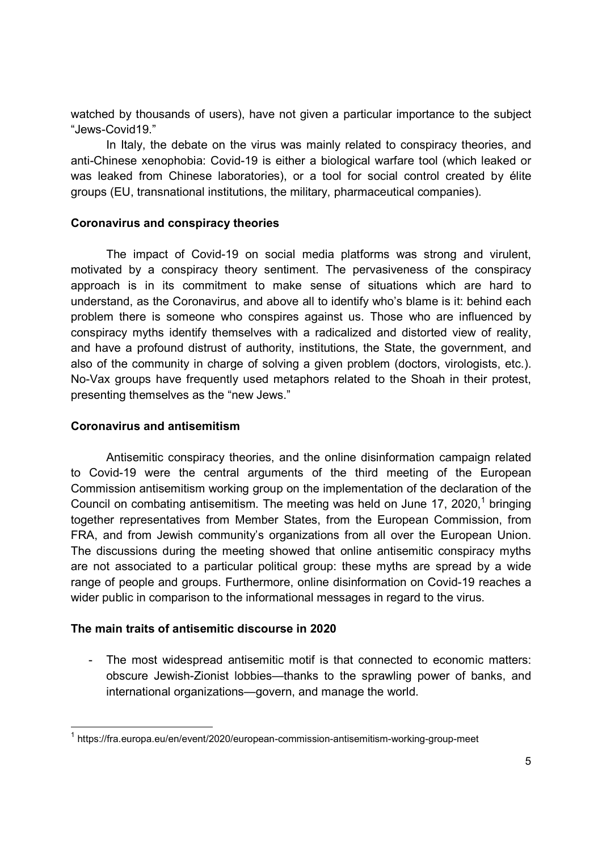watched by thousands of users), have not given a particular importance to the subject "Jews-Covid19."

In Italy, the debate on the virus was mainly related to conspiracy theories, and anti-Chinese xenophobia: Covid-19 is either a biological warfare tool (which leaked or was leaked from Chinese laboratories), or a tool for social control created by élite groups (EU, transnational institutions, the military, pharmaceutical companies).

### Coronavirus and conspiracy theories

 The impact of Covid-19 on social media platforms was strong and virulent, motivated by a conspiracy theory sentiment. The pervasiveness of the conspiracy approach is in its commitment to make sense of situations which are hard to understand, as the Coronavirus, and above all to identify who's blame is it: behind each problem there is someone who conspires against us. Those who are influenced by conspiracy myths identify themselves with a radicalized and distorted view of reality, and have a profound distrust of authority, institutions, the State, the government, and also of the community in charge of solving a given problem (doctors, virologists, etc.). No-Vax groups have frequently used metaphors related to the Shoah in their protest, presenting themselves as the "new Jews."

### Coronavirus and antisemitism

-

 Antisemitic conspiracy theories, and the online disinformation campaign related to Covid-19 were the central arguments of the third meeting of the European Commission antisemitism working group on the implementation of the declaration of the Council on combating antisemitism. The meeting was held on June 17, 2020,<sup>1</sup> bringing together representatives from Member States, from the European Commission, from FRA, and from Jewish community's organizations from all over the European Union. The discussions during the meeting showed that online antisemitic conspiracy myths are not associated to a particular political group: these myths are spread by a wide range of people and groups. Furthermore, online disinformation on Covid-19 reaches a wider public in comparison to the informational messages in regard to the virus.

# The main traits of antisemitic discourse in 2020

- The most widespread antisemitic motif is that connected to economic matters: obscure Jewish-Zionist lobbies—thanks to the sprawling power of banks, and international organizations—govern, and manage the world.

<sup>&</sup>lt;sup>1</sup> https://fra.europa.eu/en/event/2020/european-commission-antisemitism-working-group-meet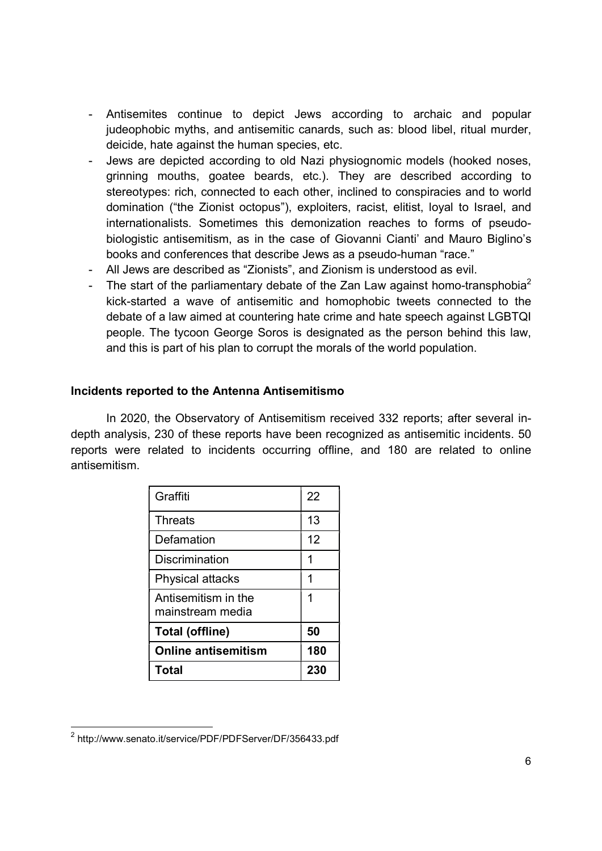- Antisemites continue to depict Jews according to archaic and popular judeophobic myths, and antisemitic canards, such as: blood libel, ritual murder, deicide, hate against the human species, etc.
- Jews are depicted according to old Nazi physiognomic models (hooked noses, grinning mouths, goatee beards, etc.). They are described according to stereotypes: rich, connected to each other, inclined to conspiracies and to world domination ("the Zionist octopus"), exploiters, racist, elitist, loyal to Israel, and internationalists. Sometimes this demonization reaches to forms of pseudobiologistic antisemitism, as in the case of Giovanni Cianti' and Mauro Biglino's books and conferences that describe Jews as a pseudo-human "race."
- All Jews are described as "Zionists", and Zionism is understood as evil.
- The start of the parliamentary debate of the Zan Law against homo-transphobia<sup>2</sup> kick-started a wave of antisemitic and homophobic tweets connected to the debate of a law aimed at countering hate crime and hate speech against LGBTQI people. The tycoon George Soros is designated as the person behind this law, and this is part of his plan to corrupt the morals of the world population.

# Incidents reported to the Antenna Antisemitismo

In 2020, the Observatory of Antisemitism received 332 reports; after several indepth analysis, 230 of these reports have been recognized as antisemitic incidents. 50 reports were related to incidents occurring offline, and 180 are related to online antisemitism.

| Graffiti                                | 22  |
|-----------------------------------------|-----|
| <b>Threats</b>                          | 13  |
| Defamation                              | 12  |
| <b>Discrimination</b>                   | 1   |
| <b>Physical attacks</b>                 | 1   |
| Antisemitism in the<br>mainstream media | 1   |
| <b>Total (offline)</b>                  | 50  |
| <b>Online antisemitism</b>              | 180 |
| <b>Total</b>                            | 230 |

-

<sup>&</sup>lt;sup>2</sup> http://www.senato.it/service/PDF/PDFServer/DF/356433.pdf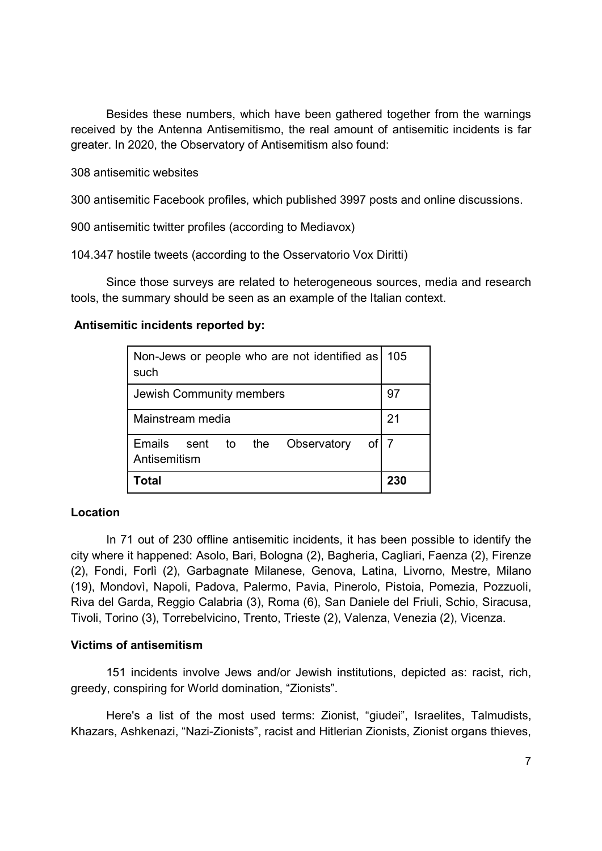Besides these numbers, which have been gathered together from the warnings received by the Antenna Antisemitismo, the real amount of antisemitic incidents is far greater. In 2020, the Observatory of Antisemitism also found:

308 antisemitic websites

300 antisemitic Facebook profiles, which published 3997 posts and online discussions.

900 antisemitic twitter profiles (according to Mediavox)

104.347 hostile tweets (according to the Osservatorio Vox Diritti)

Since those surveys are related to heterogeneous sources, media and research tools, the summary should be seen as an example of the Italian context.

### Antisemitic incidents reported by:

| Non-Jews or people who are not identified as<br>such         | 105 |
|--------------------------------------------------------------|-----|
| Jewish Community members                                     | 97  |
| Mainstream media                                             | 21  |
| of 7<br>Emails<br>sent to the<br>Observatory<br>Antisemitism |     |
| Total                                                        | 230 |

# Location

In 71 out of 230 offline antisemitic incidents, it has been possible to identify the city where it happened: Asolo, Bari, Bologna (2), Bagheria, Cagliari, Faenza (2), Firenze (2), Fondi, Forlì (2), Garbagnate Milanese, Genova, Latina, Livorno, Mestre, Milano (19), Mondovì, Napoli, Padova, Palermo, Pavia, Pinerolo, Pistoia, Pomezia, Pozzuoli, Riva del Garda, Reggio Calabria (3), Roma (6), San Daniele del Friuli, Schio, Siracusa, Tivoli, Torino (3), Torrebelvicino, Trento, Trieste (2), Valenza, Venezia (2), Vicenza.

# Victims of antisemitism

151 incidents involve Jews and/or Jewish institutions, depicted as: racist, rich, greedy, conspiring for World domination, "Zionists".

Here's a list of the most used terms: Zionist, "giudei", Israelites, Talmudists, Khazars, Ashkenazi, "Nazi-Zionists", racist and Hitlerian Zionists, Zionist organs thieves,